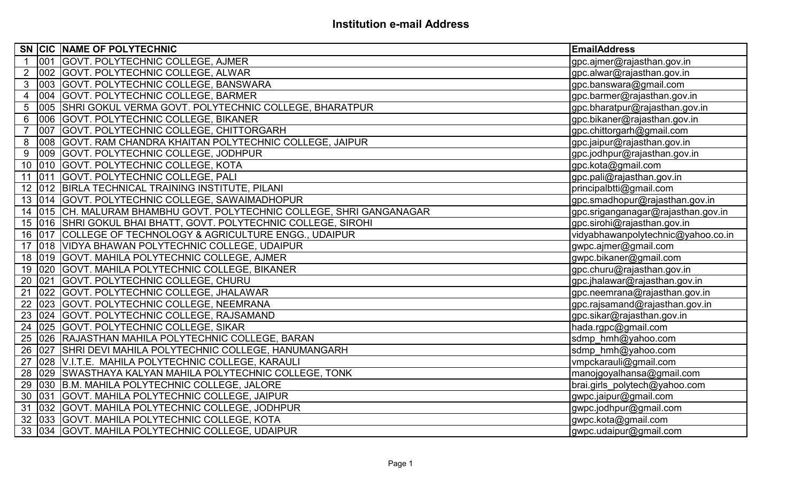|                 |        | SN CIC NAME OF POLYTECHNIC                                                | <b>EmailAddress</b>                |
|-----------------|--------|---------------------------------------------------------------------------|------------------------------------|
|                 |        | 001 GOVT. POLYTECHNIC COLLEGE, AJMER                                      | gpc.ajmer@rajasthan.gov.in         |
| $\overline{2}$  |        | 002 GOVT. POLYTECHNIC COLLEGE, ALWAR                                      | gpc.alwar@rajasthan.gov.in         |
|                 |        | 3 003 GOVT. POLYTECHNIC COLLEGE, BANSWARA                                 | gpc.banswara@gmail.com             |
| $\overline{4}$  |        | 004 GOVT. POLYTECHNIC COLLEGE, BARMER                                     | gpc.barmer@rajasthan.gov.in        |
| 5               | 005    | SHRI GOKUL VERMA GOVT. POLYTECHNIC COLLEGE, BHARATPUR                     | gpc.bharatpur@rajasthan.gov.in     |
| $6\overline{6}$ | 006    | <b>GOVT. POLYTECHNIC COLLEGE, BIKANER</b>                                 | gpc.bikaner@rajasthan.gov.in       |
| $\overline{7}$  |        | 007 GOVT. POLYTECHNIC COLLEGE, CHITTORGARH                                | gpc.chittorgarh@gmail.com          |
|                 |        | 8 008 GOVT. RAM CHANDRA KHAITAN POLYTECHNIC COLLEGE, JAIPUR               | gpc.jaipur@rajasthan.gov.in        |
|                 |        | 9 009 GOVT. POLYTECHNIC COLLEGE, JODHPUR                                  | gpc.jodhpur@rajasthan.gov.in       |
|                 |        | 10 010 GOVT. POLYTECHNIC COLLEGE, KOTA                                    | gpc.kota@gmail.com                 |
|                 |        | 11 011 GOVT. POLYTECHNIC COLLEGE, PALI                                    | gpc.pali@rajasthan.gov.in          |
|                 |        | 12 012 BIRLA TECHNICAL TRAINING INSTITUTE, PILANI                         | principalbtti@gmail.com            |
|                 |        | 13 014 GOVT. POLYTECHNIC COLLEGE, SAWAIMADHOPUR                           | gpc.smadhopur@rajasthan.gov.in     |
|                 |        | 14   015   CH. MALURAM BHAMBHU GOVT. POLYTECHNIC COLLEGE, SHRI GANGANAGAR | gpc.sriganganagar@rajasthan.gov.in |
|                 |        | 15 016 SHRI GOKUL BHAI BHATT, GOVT. POLYTECHNIC COLLEGE, SIROHI           | gpc.sirohi@rajasthan.gov.in        |
|                 |        | 16 017 COLLEGE OF TECHNOLOGY & AGRICULTURE ENGG., UDAIPUR                 | vidyabhawanpolytechnic@yahoo.co.in |
|                 |        | 17 018 VIDYA BHAWAN POLYTECHNIC COLLEGE, UDAIPUR                          | gwpc.ajmer@gmail.com               |
|                 |        | 18 019 GOVT. MAHILA POLYTECHNIC COLLEGE, AJMER                            | gwpc.bikaner@gmail.com             |
|                 |        | 19 020 GOVT. MAHILA POLYTECHNIC COLLEGE, BIKANER                          | gpc.churu@rajasthan.gov.in         |
|                 |        | 20 021 GOVT. POLYTECHNIC COLLEGE, CHURU                                   | gpc.jhalawar@rajasthan.gov.in      |
|                 |        | 21 022 GOVT. POLYTECHNIC COLLEGE, JHALAWAR                                | gpc.neemrana@rajasthan.gov.in      |
|                 |        | 22 023 GOVT. POLYTECHNIC COLLEGE, NEEMRANA                                | gpc.rajsamand@rajasthan.gov.in     |
|                 |        | 23 024 GOVT. POLYTECHNIC COLLEGE, RAJSAMAND                               | gpc.sikar@rajasthan.gov.in         |
|                 |        | 24 025 GOVT. POLYTECHNIC COLLEGE, SIKAR                                   | hada.rgpc@gmail.com                |
|                 |        | 25 026 RAJASTHAN MAHILA POLYTECHNIC COLLEGE, BARAN                        | sdmp_hmh@yahoo.com                 |
|                 |        | 26 027 SHRI DEVI MAHILA POLYTECHNIC COLLEGE, HANUMANGARH                  | sdmp_hmh@yahoo.com                 |
|                 |        | 27 028 V.I.T.E. MAHILA POLYTECHNIC COLLEGE, KARAULI                       | vmpckarauli@gmail.com              |
|                 | 28 029 | SWASTHAYA KALYAN MAHILA POLYTECHNIC COLLEGE, TONK                         | manojgoyalhansa@gmail.com          |
|                 |        | 29 030 B.M. MAHILA POLYTECHNIC COLLEGE, JALORE                            | brai.girls_polytech@yahoo.com      |
|                 | 30 031 | GOVT. MAHILA POLYTECHNIC COLLEGE, JAIPUR                                  | gwpc.jaipur@gmail.com              |
|                 |        | 31 032 GOVT. MAHILA POLYTECHNIC COLLEGE, JODHPUR                          | gwpc.jodhpur@gmail.com             |
|                 |        | 32 033 GOVT. MAHILA POLYTECHNIC COLLEGE, KOTA                             | gwpc.kota@gmail.com                |
|                 |        | 33 034 GOVT. MAHILA POLYTECHNIC COLLEGE, UDAIPUR                          | gwpc.udaipur@gmail.com             |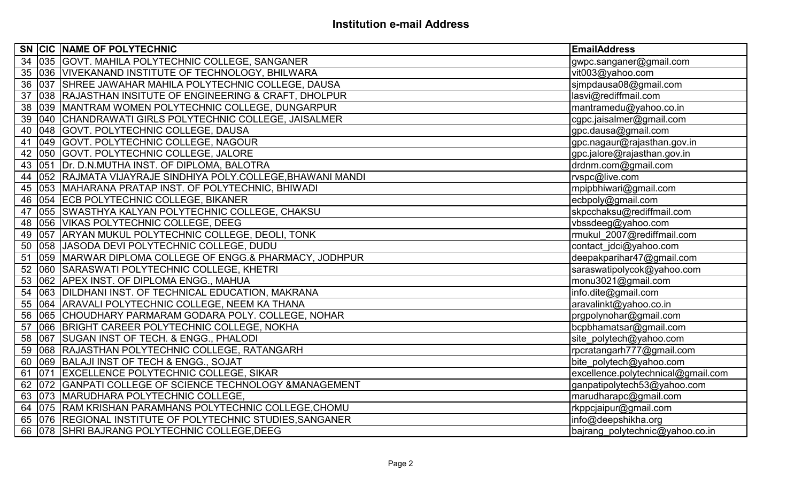|  | SN CIC NAME OF POLYTECHNIC                                        | EmailAddress                       |
|--|-------------------------------------------------------------------|------------------------------------|
|  | 34 035 GOVT. MAHILA POLYTECHNIC COLLEGE, SANGANER                 | gwpc.sanganer@gmail.com            |
|  | 35 036 VIVEKANAND INSTITUTE OF TECHNOLOGY, BHILWARA               | vit003@yahoo.com                   |
|  | 36 037 SHREE JAWAHAR MAHILA POLYTECHNIC COLLEGE, DAUSA            | sjmpdausa08@gmail.com              |
|  | 37 038 RAJASTHAN INSITUTE OF ENGINEERING & CRAFT, DHOLPUR         | lasvi@rediffmail.com               |
|  | 38 039 MANTRAM WOMEN POLYTECHNIC COLLEGE, DUNGARPUR               | mantramedu@yahoo.co.in             |
|  | 39 040 CHANDRAWATI GIRLS POLYTECHNIC COLLEGE, JAISALMER           | cgpc.jaisalmer@gmail.com           |
|  | 40 048 GOVT. POLYTECHNIC COLLEGE, DAUSA                           | gpc.dausa@gmail.com                |
|  | 41 049 GOVT. POLYTECHNIC COLLEGE, NAGOUR                          | gpc.nagaur@rajasthan.gov.in        |
|  | 42 050 GOVT. POLYTECHNIC COLLEGE, JALORE                          | gpc.jalore@rajasthan.gov.in        |
|  | 43 051 Dr. D.N.MUTHA INST. OF DIPLOMA, BALOTRA                    | drdnm.com@gmail.com                |
|  | 44   052   RAJMATA VIJAYRAJE SINDHIYA POLY.COLLEGE, BHAWANI MANDI | rvspc@live.com                     |
|  | 45 053 MAHARANA PRATAP INST. OF POLYTECHNIC, BHIWADI              | mpipbhiwari@gmail.com              |
|  | 46 054 ECB POLYTECHNIC COLLEGE, BIKANER                           | ecbpoly@gmail.com                  |
|  | 47 055 SWASTHYA KALYAN POLYTECHNIC COLLEGE, CHAKSU                | skpcchaksu@rediffmail.com          |
|  | 48 056 VIKAS POLYTECHNIC COLLEGE, DEEG                            | vbssdeeg@yahoo.com                 |
|  | 49   057   ARYAN MUKUL POLYTECHNIC COLLEGE, DEOLI, TONK           | rmukul 2007@rediffmail.com         |
|  | 50 058 JJASODA DEVI POLYTECHNIC COLLEGE, DUDU                     | contact_jdci@yahoo.com             |
|  | 51 059 MARWAR DIPLOMA COLLEGE OF ENGG.& PHARMACY, JODHPUR         | deepakparihar47@gmail.com          |
|  | 52 060 SARASWATI POLYTECHNIC COLLEGE, KHETRI                      | saraswatipolycok@yahoo.com         |
|  | 53 062 APEX INST. OF DIPLOMA ENGG., MAHUA                         | monu3021@gmail.com                 |
|  | 54   063   DILDHANI INST. OF TECHNICAL EDUCATION, MAKRANA         | info.dite@gmail.com                |
|  | 55 064 ARAVALI POLYTECHNIC COLLEGE, NEEM KA THANA                 | aravalinkt@yahoo.co.in             |
|  | 56 065 CHOUDHARY PARMARAM GODARA POLY. COLLEGE, NOHAR             | prgpolynohar@gmail.com             |
|  | 57 066 BRIGHT CAREER POLYTECHNIC COLLEGE, NOKHA                   | bcpbhamatsar@gmail.com             |
|  | 58 067 SUGAN INST OF TECH. & ENGG., PHALODI                       | site_polytech@yahoo.com            |
|  | 59 068 RAJASTHAN POLYTECHNIC COLLEGE, RATANGARH                   | rpcratangarh777@gmail.com          |
|  | 60 069 BALAJI INST OF TECH & ENGG., SOJAT                         | bite polytech@yahoo.com            |
|  | 61 071 EXCELLENCE POLYTECHNIC COLLEGE, SIKAR                      | excellence.polytechnical@gmail.com |
|  | 62 072 GANPATI COLLEGE OF SCIENCE TECHNOLOGY & MANAGEMENT         | ganpatipolytech53@yahoo.com        |
|  | 63 073 MARUDHARA POLYTECHNIC COLLEGE,                             | marudharapc@gmail.com              |
|  | 64 075 RAM KRISHAN PARAMHANS POLYTECHNIC COLLEGE, CHOMU           | rkppcjaipur@gmail.com              |
|  | 65 076 REGIONAL INSTITUTE OF POLYTECHNIC STUDIES, SANGANER        | info@deepshikha.org                |
|  | 66 078 SHRI BAJRANG POLYTECHNIC COLLEGE, DEEG                     | bajrang polytechnic@yahoo.co.in    |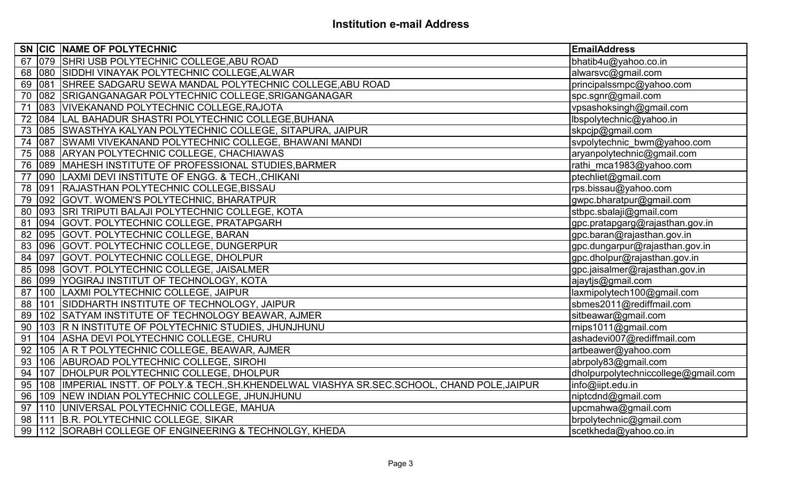|    |        | SN CIC NAME OF POLYTECHNIC                                                                    | <b>EmailAddress</b>                 |
|----|--------|-----------------------------------------------------------------------------------------------|-------------------------------------|
|    |        | 67 079 SHRI USB POLYTECHNIC COLLEGE, ABU ROAD                                                 | bhatib4u@yahoo.co.in                |
|    |        | 68 080 SIDDHI VINAYAK POLYTECHNIC COLLEGE, ALWAR                                              | alwarsvc@gmail.com                  |
|    |        | 69   081   SHREE SADGARU SEWA MANDAL POLYTECHNIC COLLEGE, ABU ROAD                            | principalssmpc@yahoo.com            |
|    |        | 70 082 SRIGANGANAGAR POLYTECHNIC COLLEGE, SRIGANGANAGAR                                       | spc.sgnr@gmail.com                  |
|    | 71 083 | VIVEKANAND POLYTECHNIC COLLEGE, RAJOTA                                                        | vpsashoksingh@gmail.com             |
|    |        | 72 084 LAL BAHADUR SHASTRI POLYTECHNIC COLLEGE, BUHANA                                        | lbspolytechnic@yahoo.in             |
|    |        | 73 085 SWASTHYA KALYAN POLYTECHNIC COLLEGE, SITAPURA, JAIPUR                                  | skpcjp@gmail.com                    |
|    |        | 74   087   SWAMI VIVEKANAND POLYTECHNIC COLLEGE, BHAWANI MANDI                                | svpolytechnic_bwm@yahoo.com         |
|    |        | 75   088   ARYAN POLYTECHNIC COLLEGE, CHACHIAWAS                                              | aryanpolytechnic@gmail.com          |
|    |        | 76 089 MAHESH INSTITUTE OF PROFESSIONAL STUDIES, BARMER                                       | rathi mca1983@yahoo.com             |
| 77 | 090    | LAXMI DEVI INSTITUTE OF ENGG. & TECH., CHIKANI                                                | ptechliet@gmail.com                 |
|    |        | 78 091 RAJASTHAN POLYTECHNIC COLLEGE, BISSAU                                                  | rps.bissau@yahoo.com                |
|    |        | 79 092 GOVT. WOMEN'S POLYTECHNIC, BHARATPUR                                                   | gwpc.bharatpur@gmail.com            |
|    |        | 80 093 SRI TRIPUTI BALAJI POLYTECHNIC COLLEGE, KOTA                                           | stbpc.sbalaji@gmail.com             |
|    |        | 81 094 GOVT. POLYTECHNIC COLLEGE, PRATAPGARH                                                  | gpc.pratapgarg@rajasthan.gov.in     |
|    |        | 82 095 GOVT. POLYTECHNIC COLLEGE, BARAN                                                       | gpc.baran@rajasthan.gov.in          |
|    |        | 83 096 GOVT. POLYTECHNIC COLLEGE, DUNGERPUR                                                   | gpc.dungarpur@rajasthan.gov.in      |
|    | 84 097 | GOVT. POLYTECHNIC COLLEGE, DHOLPUR                                                            | gpc.dholpur@rajasthan.gov.in        |
|    |        | 85 098 GOVT. POLYTECHNIC COLLEGE, JAISALMER                                                   | gpc.jaisalmer@rajasthan.gov.in      |
|    |        | 86 099 YOGIRAJ INSTITUT OF TECHNOLOGY, KOTA                                                   | ajaytjs@gmail.com                   |
|    |        | 87 100 LAXMI POLYTECHNIC COLLEGE, JAIPUR                                                      | laxmipolytech100@gmail.com          |
|    |        | 88 101 SIDDHARTH INSTITUTE OF TECHNOLOGY, JAIPUR                                              | sbmes2011@rediffmail.com            |
|    |        | 89   102   SATYAM INSTITUTE OF TECHNOLOGY BEAWAR, AJMER                                       | sitbeawar@gmail.com                 |
|    |        | 90 103 R N INSTITUTE OF POLYTECHNIC STUDIES, JHUNJHUNU                                        | rnips1011@gmail.com                 |
| 91 |        | 104 ASHA DEVI POLYTECHNIC COLLEGE, CHURU                                                      | ashadevi007@rediffmail.com          |
|    |        | 92 105 A R T POLYTECHNIC COLLEGE, BEAWAR, AJMER                                               | artbeawer@yahoo.com                 |
|    |        | 93 106 ABUROAD POLYTECHNIC COLLEGE, SIROHI                                                    | abrpoly83@gmail.com                 |
| 94 |        | 107 DHOLPUR POLYTECHNIC COLLEGE, DHOLPUR                                                      | dholpurpolytechniccollege@gmail.com |
| 95 |        | 108  IMPERIAL INSTT. OF POLY.& TECH., SH.KHENDELWAL VIASHYA SR.SEC.SCHOOL, CHAND POLE, JAIPUR | info@iipt.edu.in                    |
| 96 |        | 109 NEW INDIAN POLYTECHNIC COLLEGE, JHUNJHUNU                                                 | niptcdnd@gmail.com                  |
|    | 97 110 | UNIVERSAL POLYTECHNIC COLLEGE, MAHUA                                                          | upcmahwa@gmail.com                  |
|    |        | 98   111   B.R. POLYTECHNIC COLLEGE, SIKAR                                                    | brpolytechnic@gmail.com             |
|    |        | 99 112 SORABH COLLEGE OF ENGINEERING & TECHNOLGY, KHEDA                                       | scetkheda@yahoo.co.in               |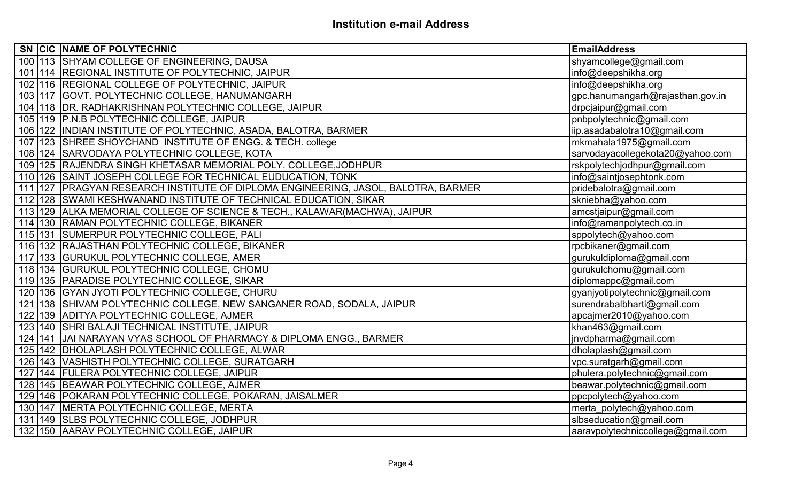|  | SN CIC NAME OF POLYTECHNIC                                                        | <b>EmailAddress</b>               |
|--|-----------------------------------------------------------------------------------|-----------------------------------|
|  | 100 113 SHYAM COLLEGE OF ENGINEERING, DAUSA                                       | shyamcollege@gmail.com            |
|  | 101 114 REGIONAL INSTITUTE OF POLYTECHNIC, JAIPUR                                 | info@deepshikha.org               |
|  | 102 116 REGIONAL COLLEGE OF POLYTECHNIC, JAIPUR                                   | info@deepshikha.org               |
|  | 103 117 GOVT. POLYTECHNIC COLLEGE, HANUMANGARH                                    | gpc.hanumangarh@rajasthan.gov.in  |
|  | 104 118 DR. RADHAKRISHNAN POLYTECHNIC COLLEGE, JAIPUR                             | drpcjaipur@gmail.com              |
|  | 105 119 P.N.B POLYTECHNIC COLLEGE, JAIPUR                                         | pnbpolytechnic@gmail.com          |
|  | 106 122 IINDIAN INSTITUTE OF POLYTECHNIC, ASADA, BALOTRA, BARMER                  | iip.asadabalotra10@gmail.com      |
|  | 107 123 SHREE SHOYCHAND INSTITUTE OF ENGG. & TECH. college                        | mkmahala1975@gmail.com            |
|  | 108 124 SARVODAYA POLYTECHNIC COLLEGE, KOTA                                       | sarvodayacollegekota20@yahoo.com  |
|  | 109 125 RAJENDRA SINGH KHETASAR MEMORIAL POLY. COLLEGE, JODHPUR                   | rskpolytechjodhpur@gmail.com      |
|  | 110 126 SAINT JOSEPH COLLEGE FOR TECHNICAL EUDUCATION, TONK                       | info@saintjosephtonk.com          |
|  | 111 127 PRAGYAN RESEARCH INSTITUTE OF DIPLOMA ENGINEERING, JASOL, BALOTRA, BARMER | pridebalotra@gmail.com            |
|  | 112 128 SWAMI KESHWANAND INSTITUTE OF TECHNICAL EDUCATION, SIKAR                  | skniebha@yahoo.com                |
|  | 113 129 ALKA MEMORIAL COLLEGE OF SCIENCE & TECH., KALAWAR(MACHWA), JAIPUR         | amcstjaipur@gmail.com             |
|  | 114 130 RAMAN POLYTECHNIC COLLEGE, BIKANER                                        | info@ramanpolytech.co.in          |
|  | 115 131 SUMERPUR POLYTECHNIC COLLEGE, PALI                                        | sppolytech@yahoo.com              |
|  | 116 132 RAJASTHAN POLYTECHNIC COLLEGE, BIKANER                                    | rpcbikaner@gmail.com              |
|  | 117 133 GURUKUL POLYTECHNIC COLLEGE, AMER                                         | gurukuldiploma@gmail.com          |
|  | 118 134 GURUKUL POLYTECHNIC COLLEGE, CHOMU                                        | gurukulchomu@gmail.com            |
|  | 119 135 PARADISE POLYTECHNIC COLLEGE, SIKAR                                       | diplomappc@gmail.com              |
|  | 120 136 GYAN JYOTI POLYTECHNIC COLLEGE, CHURU                                     | gyanjyotipolytechnic@gmail.com    |
|  | 121 138 SHIVAM POLYTECHNIC COLLEGE, NEW SANGANER ROAD, SODALA, JAIPUR             | surendrabalbharti@gmail.com       |
|  | 122 139 ADITYA POLYTECHNIC COLLEGE, AJMER                                         | apcajmer2010@yahoo.com            |
|  | 123 140 SHRI BALAJI TECHNICAL INSTITUTE, JAIPUR                                   | khan463@gmail.com                 |
|  | 124   141   JAI NARAYAN VYAS SCHOOL OF PHARMACY & DIPLOMA ENGG., BARMER           | jnvdpharma@gmail.com              |
|  | 125 142 DHOLAPLASH POLYTECHNIC COLLEGE, ALWAR                                     | dholaplash@gmail.com              |
|  | 126   143   VASHISTH POLYTECHNIC COLLEGE, SURATGARH                               | vpc.suratgarh@gmail.com           |
|  | 127 144 FULERA POLYTECHNIC COLLEGE, JAIPUR                                        | phulera.polytechnic@gmail.com     |
|  | 128 145 BEAWAR POLYTECHNIC COLLEGE, AJMER                                         | beawar.polytechnic@gmail.com      |
|  | 129 146 POKARAN POLYTECHNIC COLLEGE, POKARAN, JAISALMER                           | ppcpolytech@yahoo.com             |
|  | 130 147 MERTA POLYTECHNIC COLLEGE, MERTA                                          | merta polytech@yahoo.com          |
|  | 131 149 SLBS POLYTECHNIC COLLEGE, JODHPUR                                         | slbseducation@gmail.com           |
|  | 132 150 AARAV POLYTECHNIC COLLEGE, JAIPUR                                         | aaravpolytechniccollege@gmail.com |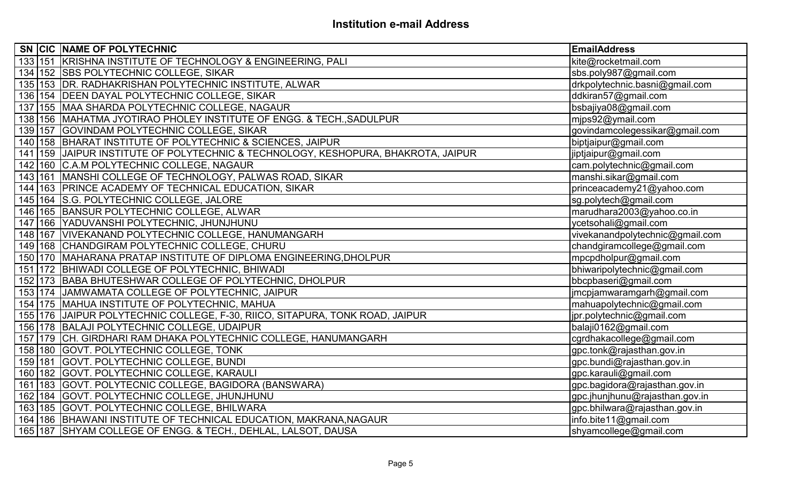|     |           | SN CIC NAME OF POLYTECHNIC                                                        | <b>EmailAddress</b>             |
|-----|-----------|-----------------------------------------------------------------------------------|---------------------------------|
|     |           | 133 151 KRISHNA INSTITUTE OF TECHNOLOGY & ENGINEERING, PALI                       | kite@rocketmail.com             |
|     |           | 134 152 SBS POLYTECHNIC COLLEGE, SIKAR                                            | sbs.poly987@gmail.com           |
|     |           | 135 153 DR. RADHAKRISHAN POLYTECHNIC INSTITUTE, ALWAR                             | drkpolytechnic.basni@gmail.com  |
|     |           | 136 154 DEEN DAYAL POLYTECHNIC COLLEGE, SIKAR                                     | ddkiran57@gmail.com             |
|     |           | 137 155 MAA SHARDA POLYTECHNIC COLLEGE, NAGAUR                                    | bsbajiya08@gmail.com            |
|     |           | 138 156 MAHATMA JYOTIRAO PHOLEY INSTITUTE OF ENGG. & TECH., SADULPUR              | mips92@ymail.com                |
|     |           | 139 157 GOVINDAM POLYTECHNIC COLLEGE, SIKAR                                       | govindamcolegessikar@gmail.com  |
|     |           | 140 158 BHARAT INSTITUTE OF POLYTECHNIC & SCIENCES, JAIPUR                        | biptjaipur@gmail.com            |
|     |           | 141 159 JAIPUR INSTITUTE OF POLYTECHNIC & TECHNOLOGY, KESHOPURA, BHAKROTA, JAIPUR | jiptjaipur@gmail.com            |
|     |           | 142 160 C.A.M POLYTECHNIC COLLEGE, NAGAUR                                         | cam.polytechnic@gmail.com       |
|     |           | 143 161 MANSHI COLLEGE OF TECHNOLOGY, PALWAS ROAD, SIKAR                          | manshi.sikar@gmail.com          |
|     |           | 144 163 PRINCE ACADEMY OF TECHNICAL EDUCATION, SIKAR                              | princeacademy21@yahoo.com       |
| 145 |           | 164 S.G. POLYTECHNIC COLLEGE, JALORE                                              | sg.polytech@gmail.com           |
|     |           | 146 165 BANSUR POLYTECHNIC COLLEGE, ALWAR                                         | marudhara2003@yahoo.co.in       |
|     |           | 147 166 YADUVANSHI POLYTECHNIC, JHUNJHUNU                                         | ycetsohali@gmail.com            |
|     |           | 148 167 VIVEKANAND POLYTECHNIC COLLEGE, HANUMANGARH                               | vivekanandpolytechnic@gmail.com |
|     |           | 149 168 CHANDGIRAM POLYTECHNIC COLLEGE, CHURU                                     | chandgiramcollege@gmail.com     |
|     |           | 150 170 MAHARANA PRATAP INSTITUTE OF DIPLOMA ENGINEERING, DHOLPUR                 | mpcpdholpur@gmail.com           |
|     |           | 151 172 BHIWADI COLLEGE OF POLYTECHNIC, BHIWADI                                   | bhiwaripolytechnic@gmail.com    |
|     |           | 152 173 BABA BHUTESHWAR COLLEGE OF POLYTECHNIC, DHOLPUR                           | bbcpbaseri@gmail.com            |
|     |           | 153 174 JAMWAMATA COLLEGE OF POLYTECHNIC, JAIPUR                                  | jmcpjamwaramgarh@gmail.com      |
|     |           | 154 175 MAHUA INSTITUTE OF POLYTECHNIC, MAHUA                                     | mahuapolytechnic@gmail.com      |
|     |           | 155 176 JAIPUR POLYTECHNIC COLLEGE, F-30, RIICO, SITAPURA, TONK ROAD, JAIPUR      | jpr.polytechnic@gmail.com       |
|     |           | 156 178 BALAJI POLYTECHNIC COLLEGE, UDAIPUR                                       | balaji0162@gmail.com            |
|     |           | 157 179 CH. GIRDHARI RAM DHAKA POLYTECHNIC COLLEGE, HANUMANGARH                   | cgrdhakacollege@gmail.com       |
|     |           | 158 180 GOVT. POLYTECHNIC COLLEGE, TONK                                           | gpc.tonk@rajasthan.gov.in       |
|     |           | 159 181 GOVT. POLYTECHNIC COLLEGE, BUNDI                                          | gpc.bundi@rajasthan.gov.in      |
|     | 160   182 | GOVT. POLYTECHNIC COLLEGE, KARAULI                                                | gpc.karauli@gmail.com           |
|     | 161 183   | GOVT. POLYTECNIC COLLEGE, BAGIDORA (BANSWARA)                                     | gpc.bagidora@rajasthan.gov.in   |
|     |           | 162 184 GOVT. POLYTECHNIC COLLEGE, JHUNJHUNU                                      | gpc.jhunjhunu@rajasthan.gov.in  |
|     |           | 163 185 GOVT. POLYTECHNIC COLLEGE, BHILWARA                                       | gpc.bhilwara@rajasthan.gov.in   |
|     |           | 164 186 BHAWANI INSTITUTE OF TECHNICAL EDUCATION, MAKRANA, NAGAUR                 | info.bite11@gmail.com           |
|     |           | 165 187 SHYAM COLLEGE OF ENGG. & TECH., DEHLAL, LALSOT, DAUSA                     | shyamcollege@gmail.com          |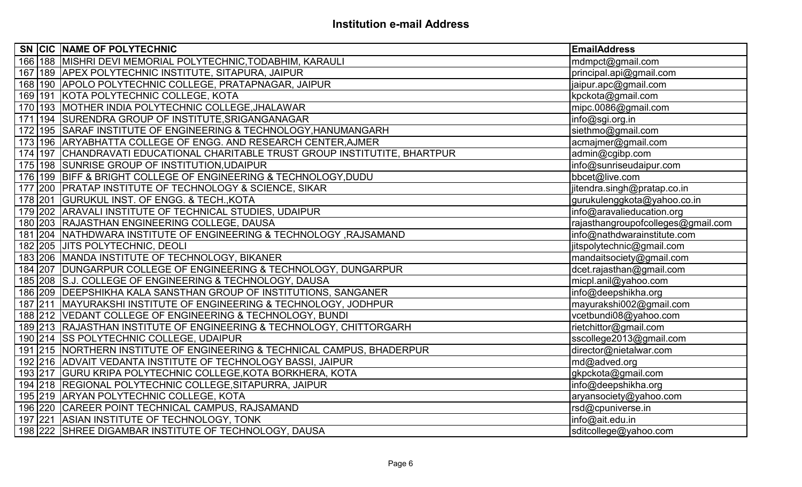| SN CIC NAME OF POLYTECHNIC                                                       | <b>EmailAddress</b>                |
|----------------------------------------------------------------------------------|------------------------------------|
| 166 188 MISHRI DEVI MEMORIAL POLYTECHNIC, TODABHIM, KARAULI                      | mdmpct@gmail.com                   |
| 167 189 APEX POLYTECHNIC INSTITUTE, SITAPURA, JAIPUR                             | principal.api@gmail.com            |
| 168 190 APOLO POLYTECHNIC COLLEGE, PRATAPNAGAR, JAIPUR                           | jaipur.apc@gmail.com               |
| 169   191   KOTA POLYTECHNIC COLLEGE, KOTA                                       | kpckota@gmail.com                  |
| 170 193 MOTHER INDIA POLYTECHNIC COLLEGE, JHALAWAR                               | mipc.0086@gmail.com                |
| 171 194 SURENDRA GROUP OF INSTITUTE, SRIGANGANAGAR                               | info@sgi.org.in                    |
| 172 195 SARAF INSTITUTE OF ENGINEERING & TECHNOLOGY, HANUMANGARH                 | siethmo@gmail.com                  |
| 173 196 ARYABHATTA COLLEGE OF ENGG. AND RESEARCH CENTER, AJMER                   | acmajmer@gmail.com                 |
| 174   197   CHANDRAVATI EDUCATIONAL CHARITABLE TRUST GROUP INSTITUTITE, BHARTPUR | admin@cgibp.com                    |
| 175 198 SUNRISE GROUP OF INSTITUTION, UDAIPUR                                    | info@sunriseudaipur.com            |
| 176 199 BIFF & BRIGHT COLLEGE OF ENGINEERING & TECHNOLOGY, DUDU                  | bbcet@live.com                     |
| 177 200 PRATAP INSTITUTE OF TECHNOLOGY & SCIENCE, SIKAR                          | jitendra.singh@pratap.co.in        |
| 178 201 GURUKUL INST. OF ENGG. & TECH., KOTA                                     | gurukulenggkota@yahoo.co.in        |
| 179 202 ARAVALI INSTITUTE OF TECHNICAL STUDIES, UDAIPUR                          | info@aravalieducation.org          |
| 180 203 RAJASTHAN ENGINEERING COLLEGE, DAUSA                                     | rajasthangroupofcolleges@gmail.com |
| 181 204 NATHDWARA INSTITUTE OF ENGINEERING & TECHNOLOGY, RAJSAMAND               | info@nathdwarainstitute.com        |
| 182 205 JUITS POLYTECHNIC, DEOLI                                                 | jitspolytechnic@gmail.com          |
| 183 206 MANDA INSTITUTE OF TECHNOLOGY, BIKANER                                   | mandaitsociety@gmail.com           |
| 184 207 DUNGARPUR COLLEGE OF ENGINEERING & TECHNOLOGY, DUNGARPUR                 | dcet.rajasthan@gmail.com           |
| 185 208 S.J. COLLEGE OF ENGINEERING & TECHNOLOGY, DAUSA                          | micpl.anil@yahoo.com               |
| 186 209 DEEPSHIKHA KALA SANSTHAN GROUP OF INSTITUTIONS, SANGANER                 | info@deepshikha.org                |
| 187 211 MAYURAKSHI INSTITUTE OF ENGINEERING & TECHNOLOGY, JODHPUR                | mayurakshi002@gmail.com            |
| 188 212 VEDANT COLLEGE OF ENGINEERING & TECHNOLOGY, BUNDI                        | vcetbundi08@yahoo.com              |
| 189 213 RAJASTHAN INSTITUTE OF ENGINEERING & TECHNOLOGY, CHITTORGARH             | rietchittor@gmail.com              |
| 190 214 SS POLYTECHNIC COLLEGE, UDAIPUR                                          | sscollege2013@gmail.com            |
| 191 215 NORTHERN INSTITUTE OF ENGINEERING & TECHNICAL CAMPUS, BHADERPUR          | director@nietalwar.com             |
| 192 216 ADVAIT VEDANTA INSTITUTE OF TECHNOLOGY BASSI, JAIPUR                     | md@adved.org                       |
| 193 217 GURU KRIPA POLYTECHNIC COLLEGE, KOTA BORKHERA, KOTA                      | gkpckota@gmail.com                 |
| 194 218 REGIONAL POLYTECHNIC COLLEGE, SITAPURRA, JAIPUR                          | info@deepshikha.org                |
| 195 219 ARYAN POLYTECHNIC COLLEGE, KOTA                                          | aryansociety@yahoo.com             |
| 196 220 CAREER POINT TECHNICAL CAMPUS, RAJSAMAND                                 | rsd@cpuniverse.in                  |
| 197 221 ASIAN INSTITUTE OF TECHNOLOGY, TONK                                      | info@ait.edu.in                    |
| 198 222 SHREE DIGAMBAR INSTITUTE OF TECHNOLOGY, DAUSA                            | sditcollege@yahoo.com              |